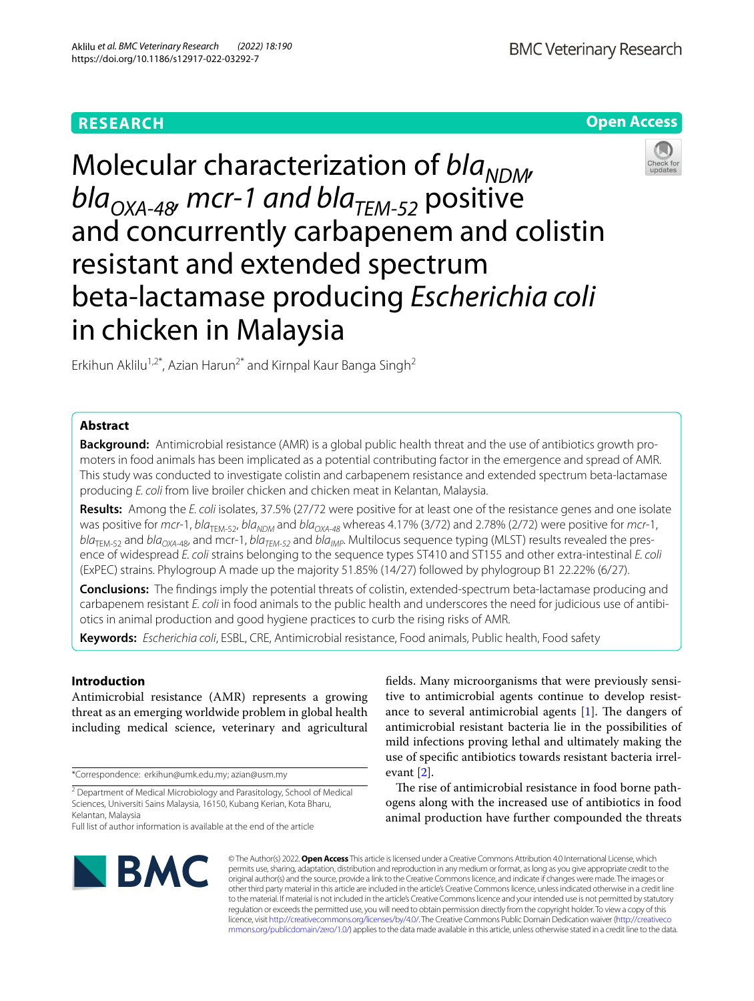# **RESEARCH**

**Open Access**

# Molecular characterization of *bla<sub>NDM</sub>*  $bla_{OXA-48}$ , mcr-1 and bla<sub>TEM-52</sub> positive and concurrently carbapenem and colistin resistant and extended spectrum beta-lactamase producing *Escherichia coli* in chicken in Malaysia



Erkihun Aklilu<sup>1,2\*</sup>, Azian Harun<sup>2\*</sup> and Kirnpal Kaur Banga Singh<sup>2</sup>

# **Abstract**

**Background:** Antimicrobial resistance (AMR) is a global public health threat and the use of antibiotics growth promoters in food animals has been implicated as a potential contributing factor in the emergence and spread of AMR. This study was conducted to investigate colistin and carbapenem resistance and extended spectrum beta-lactamase producing *E. coli* from live broiler chicken and chicken meat in Kelantan, Malaysia.

**Results:** Among the *E. coli* isolates, 37.5% (27/72 were positive for at least one of the resistance genes and one isolate was positive for *mcr*-1, *bla<sub>TEM-52</sub>*, *bla<sub>NDM</sub>* and *bla<sub>OXA-48</sub>* whereas 4.17% (3/72) and 2.78% (2/72) were positive for *mcr*-1, *bla*<sub>TEM-52</sub> and *bla<sub>OXA-48</sub>*, and mcr-1, *bla<sub>TEM-52</sub>* and *bla<sub>IMP</sub>*. Multilocus sequence typing (MLST) results revealed the presence of widespread *E. coli* strains belonging to the sequence types ST410 and ST155 and other extra-intestinal *E. coli* (ExPEC) strains. Phylogroup A made up the majority 51.85% (14/27) followed by phylogroup B1 22.22% (6/27).

**Conclusions:** The fndings imply the potential threats of colistin, extended-spectrum beta-lactamase producing and carbapenem resistant *E. coli* in food animals to the public health and underscores the need for judicious use of antibiotics in animal production and good hygiene practices to curb the rising risks of AMR.

**Keywords:** *Escherichia coli*, ESBL, CRE, Antimicrobial resistance, Food animals, Public health, Food safety

# **Introduction**

Antimicrobial resistance (AMR) represents a growing threat as an emerging worldwide problem in global health including medical science, veterinary and agricultural

\*Correspondence: erkihun@umk.edu.my; azian@usm.my

<sup>2</sup> Department of Medical Microbiology and Parasitology, School of Medical Sciences, Universiti Sains Malaysia, 16150, Kubang Kerian, Kota Bharu, Kelantan, Malaysia

felds. Many microorganisms that were previously sensitive to antimicrobial agents continue to develop resistance to several antimicrobial agents  $[1]$ . The dangers of antimicrobial resistant bacteria lie in the possibilities of mild infections proving lethal and ultimately making the use of specifc antibiotics towards resistant bacteria irrelevant [[2\]](#page-8-1).

The rise of antimicrobial resistance in food borne pathogens along with the increased use of antibiotics in food animal production have further compounded the threats



© The Author(s) 2022. **Open Access** This article is licensed under a Creative Commons Attribution 4.0 International License, which permits use, sharing, adaptation, distribution and reproduction in any medium or format, as long as you give appropriate credit to the original author(s) and the source, provide a link to the Creative Commons licence, and indicate if changes were made. The images or other third party material in this article are included in the article's Creative Commons licence, unless indicated otherwise in a credit line to the material. If material is not included in the article's Creative Commons licence and your intended use is not permitted by statutory regulation or exceeds the permitted use, you will need to obtain permission directly from the copyright holder. To view a copy of this licence, visit [http://creativecommons.org/licenses/by/4.0/.](http://creativecommons.org/licenses/by/4.0/) The Creative Commons Public Domain Dedication waiver ([http://creativeco](http://creativecommons.org/publicdomain/zero/1.0/) [mmons.org/publicdomain/zero/1.0/](http://creativecommons.org/publicdomain/zero/1.0/)) applies to the data made available in this article, unless otherwise stated in a credit line to the data.

Full list of author information is available at the end of the article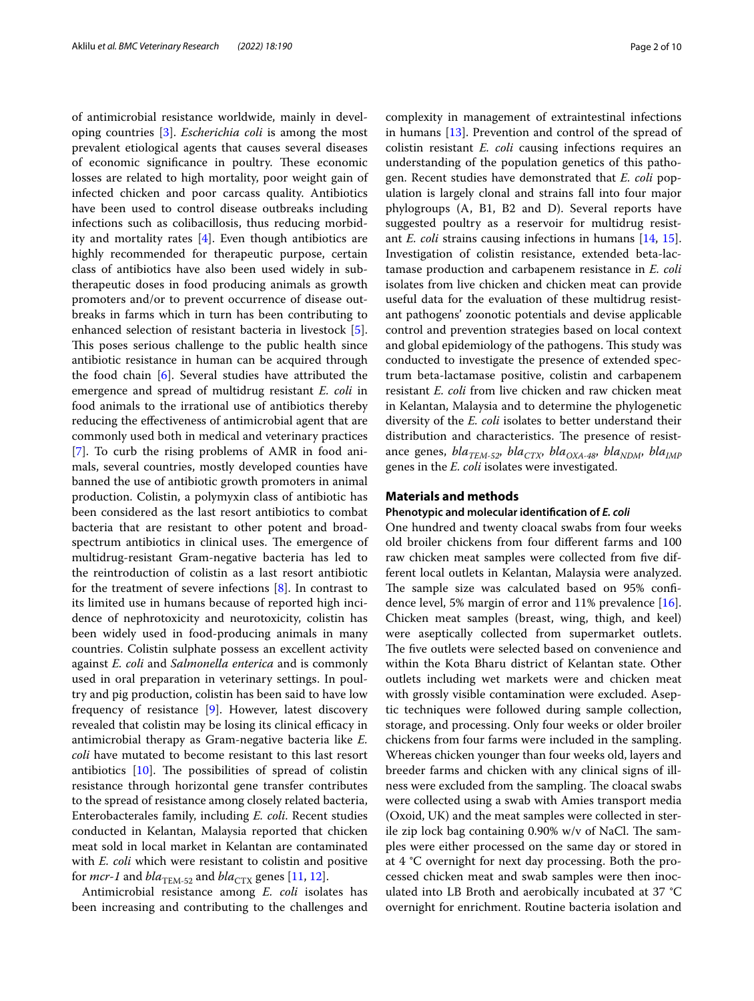of antimicrobial resistance worldwide, mainly in developing countries [[3\]](#page-8-2). *Escherichia coli* is among the most prevalent etiological agents that causes several diseases of economic significance in poultry. These economic losses are related to high mortality, poor weight gain of infected chicken and poor carcass quality. Antibiotics have been used to control disease outbreaks including infections such as colibacillosis, thus reducing morbidity and mortality rates [\[4](#page-8-3)]. Even though antibiotics are highly recommended for therapeutic purpose, certain class of antibiotics have also been used widely in subtherapeutic doses in food producing animals as growth promoters and/or to prevent occurrence of disease outbreaks in farms which in turn has been contributing to enhanced selection of resistant bacteria in livestock [\[5](#page-8-4)]. This poses serious challenge to the public health since antibiotic resistance in human can be acquired through the food chain [\[6](#page-8-5)]. Several studies have attributed the emergence and spread of multidrug resistant *E. coli* in food animals to the irrational use of antibiotics thereby reducing the efectiveness of antimicrobial agent that are commonly used both in medical and veterinary practices [[7\]](#page-8-6). To curb the rising problems of AMR in food animals, several countries, mostly developed counties have banned the use of antibiotic growth promoters in animal production. Colistin, a polymyxin class of antibiotic has been considered as the last resort antibiotics to combat bacteria that are resistant to other potent and broadspectrum antibiotics in clinical uses. The emergence of multidrug-resistant Gram-negative bacteria has led to the reintroduction of colistin as a last resort antibiotic for the treatment of severe infections  $[8]$  $[8]$ . In contrast to its limited use in humans because of reported high incidence of nephrotoxicity and neurotoxicity, colistin has been widely used in food-producing animals in many countries. Colistin sulphate possess an excellent activity against *E. coli* and *Salmonella enterica* and is commonly used in oral preparation in veterinary settings. In poultry and pig production, colistin has been said to have low frequency of resistance [\[9](#page-8-8)]. However, latest discovery revealed that colistin may be losing its clinical efficacy in antimicrobial therapy as Gram-negative bacteria like *E. coli* have mutated to become resistant to this last resort antibiotics  $[10]$  $[10]$ . The possibilities of spread of colistin resistance through horizontal gene transfer contributes to the spread of resistance among closely related bacteria, Enterobacterales family, including *E. coli*. Recent studies conducted in Kelantan, Malaysia reported that chicken meat sold in local market in Kelantan are contaminated with *E. coli* which were resistant to colistin and positive for *mcr-1* and  $bla_{\text{TEM-52}}$  and  $bla_{\text{CTX}}$  genes [\[11](#page-8-10), [12\]](#page-8-11).

Antimicrobial resistance among *E. coli* isolates has been increasing and contributing to the challenges and complexity in management of extraintestinal infections in humans [\[13\]](#page-8-12). Prevention and control of the spread of colistin resistant *E. coli* causing infections requires an understanding of the population genetics of this pathogen. Recent studies have demonstrated that *E. coli* population is largely clonal and strains fall into four major phylogroups (A, B1, B2 and D). Several reports have suggested poultry as a reservoir for multidrug resistant *E. coli* strains causing infections in humans [\[14,](#page-8-13) [15](#page-8-14)]. Investigation of colistin resistance, extended beta-lactamase production and carbapenem resistance in *E. coli* isolates from live chicken and chicken meat can provide useful data for the evaluation of these multidrug resistant pathogens' zoonotic potentials and devise applicable control and prevention strategies based on local context and global epidemiology of the pathogens. This study was conducted to investigate the presence of extended spectrum beta-lactamase positive, colistin and carbapenem resistant *E. coli* from live chicken and raw chicken meat in Kelantan, Malaysia and to determine the phylogenetic diversity of the *E. coli* isolates to better understand their distribution and characteristics. The presence of resistance genes, *bla<sub>TEM-52</sub>*, *bla<sub>CTX</sub>*, *bla<sub>OXA-48</sub>*, *bla<sub>NDM</sub>*, *bla<sub>IMP</sub>* genes in the *E. coli* isolates were investigated.

# **Materials and methods**

#### **Phenotypic and molecular identifcation of** *E. coli*

One hundred and twenty cloacal swabs from four weeks old broiler chickens from four diferent farms and 100 raw chicken meat samples were collected from fve different local outlets in Kelantan, Malaysia were analyzed. The sample size was calculated based on 95% confidence level, 5% margin of error and 11% prevalence  $[16]$  $[16]$ . Chicken meat samples (breast, wing, thigh, and keel) were aseptically collected from supermarket outlets. The five outlets were selected based on convenience and within the Kota Bharu district of Kelantan state. Other outlets including wet markets were and chicken meat with grossly visible contamination were excluded. Aseptic techniques were followed during sample collection, storage, and processing. Only four weeks or older broiler chickens from four farms were included in the sampling. Whereas chicken younger than four weeks old, layers and breeder farms and chicken with any clinical signs of illness were excluded from the sampling. The cloacal swabs were collected using a swab with Amies transport media (Oxoid, UK) and the meat samples were collected in sterile zip lock bag containing  $0.90\%$  w/v of NaCl. The samples were either processed on the same day or stored in at 4 °C overnight for next day processing. Both the processed chicken meat and swab samples were then inoculated into LB Broth and aerobically incubated at 37 °C overnight for enrichment. Routine bacteria isolation and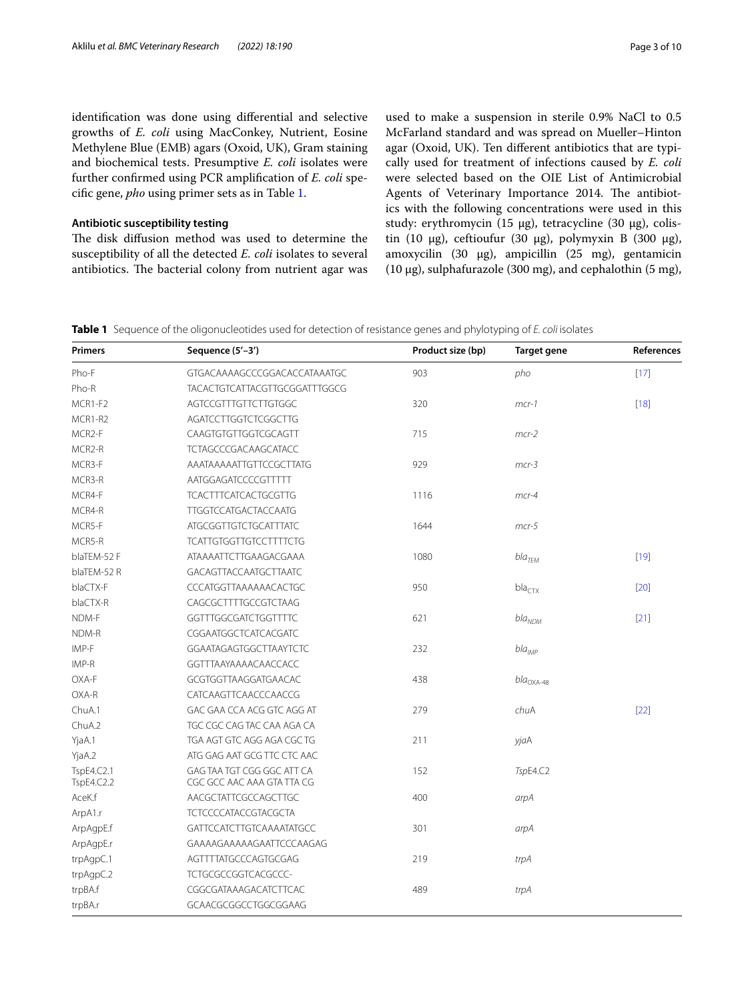identifcation was done using diferential and selective growths of *E. coli* using MacConkey, Nutrient, Eosine Methylene Blue (EMB) agars (Oxoid, UK), Gram staining and biochemical tests. Presumptive *E. coli* isolates were further confrmed using PCR amplifcation of *E. coli* specifc gene, *pho* using primer sets as in Table [1.](#page-2-0)

# **Antibiotic susceptibility testing**

The disk diffusion method was used to determine the susceptibility of all the detected *E. coli* isolates to several antibiotics. The bacterial colony from nutrient agar was used to make a suspension in sterile 0.9% NaCl to 0.5 McFarland standard and was spread on Mueller–Hinton agar (Oxoid, UK). Ten diferent antibiotics that are typically used for treatment of infections caused by *E. coli* were selected based on the OIE List of Antimicrobial Agents of Veterinary Importance 2014. The antibiotics with the following concentrations were used in this study: erythromycin (15 µg), tetracycline (30 µg), colistin (10  $\mu$ g), ceftioufur (30  $\mu$ g), polymyxin B (300  $\mu$ g), amoxycilin (30 µg), ampicillin (25 mg), gentamicin (10 µg), sulphafurazole (300 mg), and cephalothin (5 mg),

<span id="page-2-0"></span>

|  |  |  |  |  | Table 1 Sequence of the oligonucleotides used for detection of resistance genes and phylotyping of E. coli isolates |  |
|--|--|--|--|--|---------------------------------------------------------------------------------------------------------------------|--|
|--|--|--|--|--|---------------------------------------------------------------------------------------------------------------------|--|

| <b>Primers</b>           | Sequence (5'-3')                                         | Product size (bp) | <b>Target gene</b> | References |
|--------------------------|----------------------------------------------------------|-------------------|--------------------|------------|
| Pho-F                    | GTGACAAAAGCCCGGACACCATAAATGC                             | 903               | pho                | $[17]$     |
| Pho-R                    | <b>TACACTGTCATTACGTTGCGGATTTGGCG</b>                     |                   |                    |            |
| MCR1-F2                  | AGTCCGTTTGTTCTTGTGGC                                     | 320               | $mcr-1$            | $[18]$     |
| MCR1-R2                  | AGATCCTTGGTCTCGGCTTG                                     |                   |                    |            |
| MCR <sub>2-F</sub>       | CAAGTGTGTTGGTCGCAGTT                                     | 715               | $mcr-2$            |            |
| MCR <sub>2</sub> -R      | <b>TCTAGCCCGACAAGCATACC</b>                              |                   |                    |            |
| MCR3-F                   | AAATAAAAATTGTTCCGCTTATG                                  | 929               | $mcr-3$            |            |
| MCR3-R                   | AATGGAGATCCCCGTTTTT                                      |                   |                    |            |
| MCR4-F                   | <b>TCACTTTCATCACTGCGTTG</b>                              | 1116              | $mcr-4$            |            |
| MCR4-R                   | TTGGTCCATGACTACCAATG                                     |                   |                    |            |
| MCR5-F                   | <b>ATGCGGTTGTCTGCATTTATC</b>                             | 1644              | $mcr-5$            |            |
| MCR5-R                   | <b>TCATTGTGGTTGTCCTTTTCTG</b>                            |                   |                    |            |
| blaTEM-52 F              | ATAAAATTCTTGAAGACGAAA                                    | 1080              | $bla_{\text{TEM}}$ | $[19]$     |
| blaTEM-52 R              | <b>GACAGTTACCAATGCTTAATC</b>                             |                   |                    |            |
| blaCTX-F                 | CCCATGGTTAAAAAACACTGC                                    | 950               | bla <sub>CTX</sub> | $[20]$     |
| blaCTX-R                 | CAGCGCTTTTGCCGTCTAAG                                     |                   |                    |            |
| NDM-F                    | GGTTTGGCGATCTGGTTTTC                                     | 621               | $bla_{NDM}$        | $[21]$     |
| NDM-R                    | CGGAATGGCTCATCACGATC                                     |                   |                    |            |
| IMP-F                    | GGAATAGAGTGGCTTAAYTCTC                                   | 232               | $bla_{IMP}$        |            |
| IMP-R                    | GGTTTAAYAAAACAACCACC                                     |                   |                    |            |
| OXA-F                    | GCGTGGTTAAGGATGAACAC                                     | 438               | $bla_{\rm OXA-48}$ |            |
| OXA-R                    | CATCAAGTTCAACCCAACCG                                     |                   |                    |            |
| ChuA.1                   | GAC GAA CCA ACG GTC AGG AT                               | 279               | chuA               | $[22]$     |
| ChuA.2                   | TGC CGC CAG TAC CAA AGA CA                               |                   |                    |            |
| YjaA.1                   | TGA AGT GTC AGG AGA CGC TG                               | 211               | yjaA               |            |
| YjaA.2                   | ATG GAG AAT GCG TTC CTC AAC                              |                   |                    |            |
| TspE4.C2.1<br>TspE4.C2.2 | GAG TAA TGT CGG GGC ATT CA<br>CGC GCC AAC AAA GTA TTA CG | 152               | TspE4.C2           |            |
| AceK.f                   | AACGCTATTCGCCAGCTTGC                                     | 400               | arpA               |            |
| ArpA1.r                  | <b>TCTCCCCATACCGTACGCTA</b>                              |                   |                    |            |
| ArpAgpE.f                | <b>GATTCCATCTTGTCAAAATATGCC</b>                          | 301               | arpA               |            |
| ArpAgpE.r                | GAAAAGAAAAAGAATTCCCAAGAG                                 |                   |                    |            |
| trpAgpC.1                | AGTTTTATGCCCAGTGCGAG                                     | 219               | trpA               |            |
| trpAgpC.2                | TCTGCGCCGGTCACGCCC-                                      |                   |                    |            |
| trpBA.f                  | CGGCGATAAAGACATCTTCAC                                    | 489               | trpA               |            |
| trpBA.r                  | GCAACGCGGCCTGGCGGAAG                                     |                   |                    |            |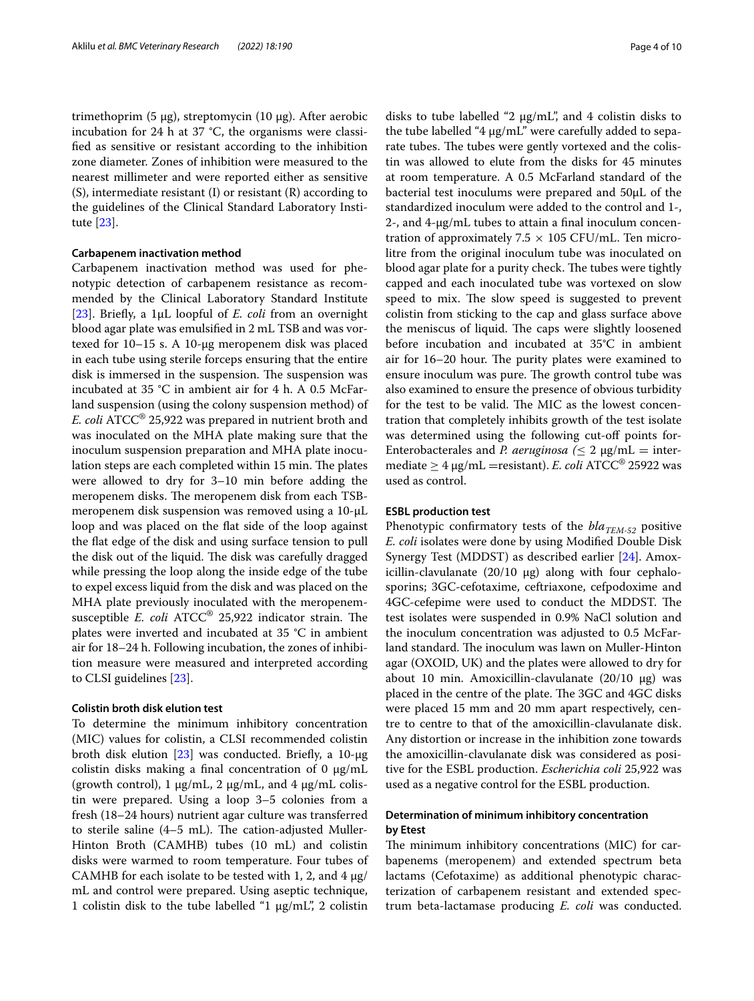trimethoprim (5 µg), streptomycin (10 µg). After aerobic incubation for 24 h at 37 °C, the organisms were classifed as sensitive or resistant according to the inhibition zone diameter. Zones of inhibition were measured to the nearest millimeter and were reported either as sensitive (S), intermediate resistant (I) or resistant (R) according to the guidelines of the Clinical Standard Laboratory Institute [\[23](#page-9-4)].

# **Carbapenem inactivation method**

Carbapenem inactivation method was used for phenotypic detection of carbapenem resistance as recommended by the Clinical Laboratory Standard Institute [[23\]](#page-9-4). Briefy, a 1µL loopful of *E. coli* from an overnight blood agar plate was emulsifed in 2 mL TSB and was vortexed for 10–15 s. A 10-µg meropenem disk was placed in each tube using sterile forceps ensuring that the entire disk is immersed in the suspension. The suspension was incubated at 35 °C in ambient air for 4 h. A 0.5 McFarland suspension (using the colony suspension method) of *E. coli* ATCC® 25,922 was prepared in nutrient broth and was inoculated on the MHA plate making sure that the inoculum suspension preparation and MHA plate inoculation steps are each completed within 15 min. The plates were allowed to dry for 3–10 min before adding the meropenem disks. The meropenem disk from each TSBmeropenem disk suspension was removed using a 10-µL loop and was placed on the flat side of the loop against the fat edge of the disk and using surface tension to pull the disk out of the liquid. The disk was carefully dragged while pressing the loop along the inside edge of the tube to expel excess liquid from the disk and was placed on the MHA plate previously inoculated with the meropenemsusceptible *E. coli* ATCC<sup>®</sup> 25,922 indicator strain. The plates were inverted and incubated at 35 °C in ambient air for 18–24 h. Following incubation, the zones of inhibition measure were measured and interpreted according to CLSI guidelines [\[23](#page-9-4)].

# **Colistin broth disk elution test**

To determine the minimum inhibitory concentration (MIC) values for colistin, a CLSI recommended colistin broth disk elution  $[23]$  was conducted. Briefly, a 10-μg colistin disks making a final concentration of 0  $\mu$ g/mL (growth control), 1  $\mu$ g/mL, 2  $\mu$ g/mL, and 4  $\mu$ g/mL colistin were prepared. Using a loop 3–5 colonies from a fresh (18–24 hours) nutrient agar culture was transferred to sterile saline  $(4-5$  mL). The cation-adjusted Muller-Hinton Broth (CAMHB) tubes (10 mL) and colistin disks were warmed to room temperature. Four tubes of CAMHB for each isolate to be tested with 1, 2, and 4  $\mu$ g/ mL and control were prepared. Using aseptic technique, 1 colistin disk to the tube labelled "1 µg/mL", 2 colistin disks to tube labelled "2 µg/mL", and 4 colistin disks to the tube labelled "4 µg/mL" were carefully added to separate tubes. The tubes were gently vortexed and the colistin was allowed to elute from the disks for 45 minutes at room temperature. A 0.5 McFarland standard of the bacterial test inoculums were prepared and 50µL of the standardized inoculum were added to the control and 1-, 2-, and 4-µg/mL tubes to attain a fnal inoculum concentration of approximately  $7.5 \times 105$  CFU/mL. Ten microlitre from the original inoculum tube was inoculated on blood agar plate for a purity check. The tubes were tightly capped and each inoculated tube was vortexed on slow speed to mix. The slow speed is suggested to prevent colistin from sticking to the cap and glass surface above the meniscus of liquid. The caps were slightly loosened before incubation and incubated at 35°C in ambient air for  $16-20$  hour. The purity plates were examined to ensure inoculum was pure. The growth control tube was also examined to ensure the presence of obvious turbidity for the test to be valid. The MIC as the lowest concentration that completely inhibits growth of the test isolate was determined using the following cut-off points for-Enterobacterales and *P. aeruginosa* ( $\leq 2 \mu g/mL =$  intermediate ≥ 4 μg/mL =resistant). *E. coli* ATCC® 25922 was used as control.

# **ESBL production test**

Phenotypic confirmatory tests of the  $bla_{TEM-52}$  positive *E. coli* isolates were done by using Modifed Double Disk Synergy Test (MDDST) as described earlier [[24\]](#page-9-5). Amoxicillin-clavulanate (20/10 μg) along with four cephalosporins; 3GC-cefotaxime, ceftriaxone, cefpodoxime and 4GC-cefepime were used to conduct the MDDST. The test isolates were suspended in 0.9% NaCl solution and the inoculum concentration was adjusted to 0.5 McFarland standard. The inoculum was lawn on Muller-Hinton agar (OXOID, UK) and the plates were allowed to dry for about 10 min. Amoxicillin-clavulanate (20/10 μg) was placed in the centre of the plate. The 3GC and 4GC disks were placed 15 mm and 20 mm apart respectively, centre to centre to that of the amoxicillin-clavulanate disk. Any distortion or increase in the inhibition zone towards the amoxicillin-clavulanate disk was considered as positive for the ESBL production. *Escherichia coli* 25,922 was used as a negative control for the ESBL production.

# **Determination of minimum inhibitory concentration by Etest**

The minimum inhibitory concentrations (MIC) for carbapenems (meropenem) and extended spectrum beta lactams (Cefotaxime) as additional phenotypic characterization of carbapenem resistant and extended spectrum beta-lactamase producing *E. coli* was conducted.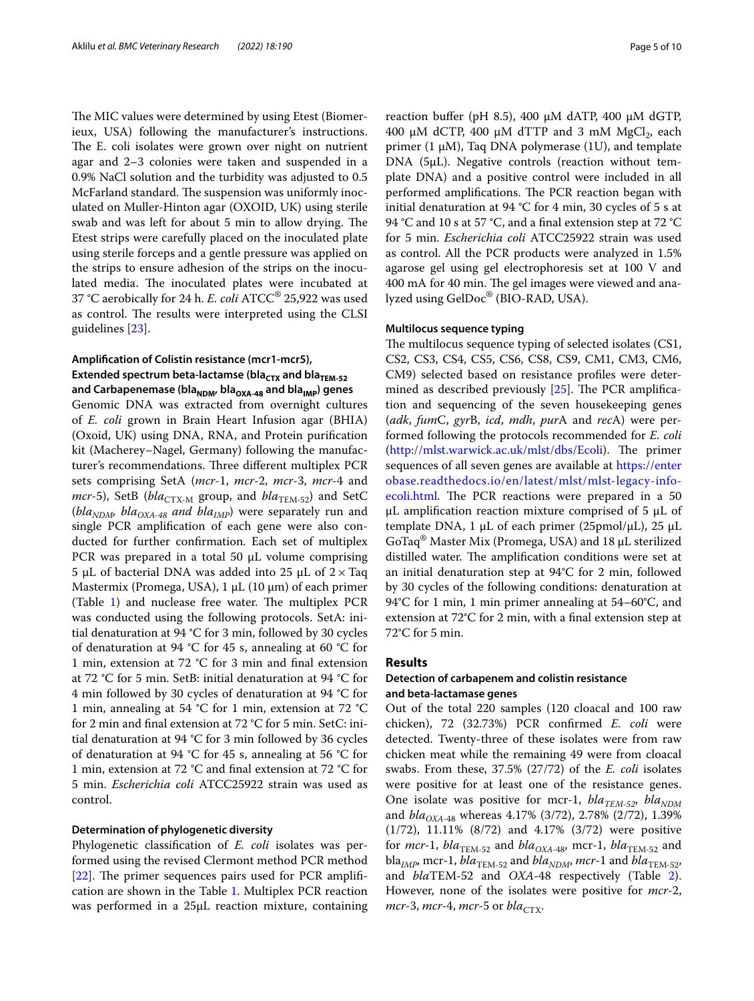The MIC values were determined by using Etest (Biomerieux, USA) following the manufacturer's instructions. The E. coli isolates were grown over night on nutrient agar and 2–3 colonies were taken and suspended in a 0.9% NaCl solution and the turbidity was adjusted to 0.5 McFarland standard. The suspension was uniformly inoculated on Muller-Hinton agar (OXOID, UK) using sterile swab and was left for about 5 min to allow drying. The Etest strips were carefully placed on the inoculated plate using sterile forceps and a gentle pressure was applied on the strips to ensure adhesion of the strips on the inoculated media. The inoculated plates were incubated at 37 °C aerobically for 24 h. *E. coli* ATCC® 25,922 was used as control. The results were interpreted using the CLSI guidelines [[23](#page-9-4)].

# **Amplifcation of Colistin resistance (mcr1‑mcr5), Extended spectrum beta-lactamse (bla<sub>CTX</sub> and bla<sub>TEM-52</sub> and Carbapenemase (blaNDM, blaOXA‑48 and blaIMP) genes**

Genomic DNA was extracted from overnight cultures of *E. coli* grown in Brain Heart Infusion agar (BHIA) (Oxoid, UK) using DNA, RNA, and Protein purifcation kit (Macherey–Nagel, Germany) following the manufacturer's recommendations. Three different multiplex PCR sets comprising SetA (*mcr*-1, *mcr*-2, *mcr*-3, *mcr*-4 and *mcr*-5), SetB ( $bla_{\text{CTX-M}}$  group, and  $bla_{\text{TEM-52}}$ ) and SetC ( $bla<sub>NDM</sub>$ ,  $bla<sub>OXA-48</sub>$  and  $bla<sub>IMP</sub>$ ) were separately run and single PCR amplifcation of each gene were also conducted for further confrmation. Each set of multiplex PCR was prepared in a total 50  $\mu$ L volume comprising 5 µL of bacterial DNA was added into 25 µL of  $2 \times$ Taq Mastermix (Promega, USA),  $1 \mu L$  (10  $\mu$ m) of each primer  $(Table 1)$  $(Table 1)$  and nuclease free water. The multiplex PCR was conducted using the following protocols. SetA: initial denaturation at 94 °C for 3 min, followed by 30 cycles of denaturation at 94 °C for 45 s, annealing at 60 °C for 1 min, extension at 72 °C for 3 min and fnal extension at 72 °C for 5 min. SetB: initial denaturation at 94 °C for 4 min followed by 30 cycles of denaturation at 94 °C for 1 min, annealing at 54 °C for 1 min, extension at 72 °C for 2 min and fnal extension at 72 °C for 5 min. SetC: initial denaturation at 94 °C for 3 min followed by 36 cycles of denaturation at 94 °C for 45 s, annealing at 56 °C for 1 min, extension at 72 °C and fnal extension at 72 °C for 5 min. *Escherichia coli* ATCC25922 strain was used as control.

## **Determination of phylogenetic diversity**

Phylogenetic classifcation of *E. coli* isolates was performed using the revised Clermont method PCR method  $[22]$  $[22]$ . The primer sequences pairs used for PCR amplification are shown in the Table [1](#page-2-0). Multiplex PCR reaction was performed in a 25μL reaction mixture, containing reaction buffer (pH 8.5), 400  $\mu$ M dATP, 400  $\mu$ M dGTP, 400  $\mu$ M dCTP, 400  $\mu$ M dTTP and 3 mM MgCl<sub>2</sub>, each primer (1 μM), Taq DNA polymerase (1U), and template DNA (5μL). Negative controls (reaction without template DNA) and a positive control were included in all performed amplifications. The PCR reaction began with initial denaturation at 94 °C for 4 min, 30 cycles of 5 s at 94 °C and 10 s at 57 °C, and a fnal extension step at 72 °C for 5 min. *Escherichia coli* ATCC25922 strain was used as control. All the PCR products were analyzed in 1.5% agarose gel using gel electrophoresis set at 100 V and 400 mA for 40 min. The gel images were viewed and analyzed using GelDoc® (BIO-RAD, USA).

# **Multilocus sequence typing**

The multilocus sequence typing of selected isolates (CS1, CS2, CS3, CS4, CS5, CS6, CS8, CS9, CM1, CM3, CM6, CM9) selected based on resistance profles were determined as described previously  $[25]$ . The PCR amplification and sequencing of the seven housekeeping genes (*adk*, *fum*C, *gyr*B, *icd*, *mdh*, *pur*A and *rec*A) were performed following the protocols recommended for *E. coli* (<http://mlst.warwick.ac.uk/mlst/dbs/Ecoli>). The primer sequences of all seven genes are available at [https://enter](https://enterobase.readthedocs.io/en/latest/mlst/mlst-legacy-info-ecoli.html) [obase.readthedocs.io/en/latest/mlst/mlst-legacy-info](https://enterobase.readthedocs.io/en/latest/mlst/mlst-legacy-info-ecoli.html)[ecoli.html.](https://enterobase.readthedocs.io/en/latest/mlst/mlst-legacy-info-ecoli.html) The PCR reactions were prepared in a 50 μL amplifcation reaction mixture comprised of 5 μL of template DNA, 1 μL of each primer (25pmol/μL), 25 μL GoTaq® Master Mix (Promega, USA) and 18 μL sterilized distilled water. The amplification conditions were set at an initial denaturation step at 94°C for 2 min, followed by 30 cycles of the following conditions: denaturation at 94°C for 1 min, 1 min primer annealing at 54–60°C, and extension at 72°C for 2 min, with a fnal extension step at 72°C for 5 min.

# **Results**

# **Detection of carbapenem and colistin resistance and beta‑lactamase genes**

Out of the total 220 samples (120 cloacal and 100 raw chicken), 72 (32.73%) PCR confrmed *E. coli* were detected. Twenty-three of these isolates were from raw chicken meat while the remaining 49 were from cloacal swabs. From these, 37.5% (27/72) of the *E. coli* isolates were positive for at least one of the resistance genes. One isolate was positive for mcr-1,  $bla_{TEM-52}$ ,  $bla_{NDM}$ and *bla<sub>OXA-48</sub>* whereas 4.17% (3/72), 2.78% (2/72), 1.39% (1/72), 11.11% (8/72) and 4.17% (3/72) were positive for *mcr*-1,  $bla_{\text{TEM-52}}$  and  $bla_{OXA-48}$ , mcr-1,  $bla_{\text{TEM-52}}$  and  $bla<sub>IMP</sub>$ , mcr-1,  $bla<sub>TEM-52</sub>$  and  $bla<sub>NDM</sub>$ , mcr-1 and  $bla<sub>TEM-52</sub>$ , and *bla*TEM-52 and *OXA*-48 respectively (Table [2](#page-5-0)). However, none of the isolates were positive for *mcr*-2, *mcr*-3, *mcr*-4, *mcr*-5 or  $bla_{CTX}$ .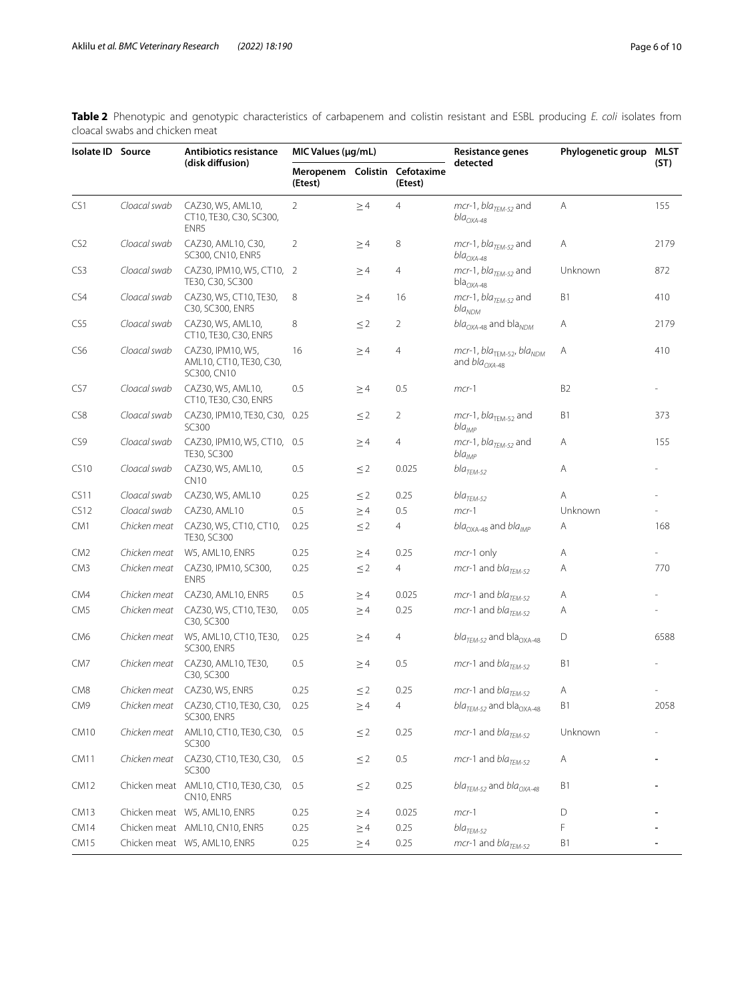<span id="page-5-0"></span>**Table 2** Phenotypic and genotypic characteristics of carbapenem and colistin resistant and ESBL producing *E. coli* isolates from cloacal swabs and chicken meat

| Isolate ID Source |              | <b>Antibiotics resistance</b><br>(disk diffusion)           | MIC Values (µg/mL)                       |          | <b>Resistance genes</b> | Phylogenetic group                                                             | MLST           |      |
|-------------------|--------------|-------------------------------------------------------------|------------------------------------------|----------|-------------------------|--------------------------------------------------------------------------------|----------------|------|
|                   |              |                                                             | Meropenem Colistin Cefotaxime<br>(Etest) |          | (Etest)                 | detected                                                                       |                | (ST) |
| CS1               | Cloacal swab | CAZ30, W5, AML10,<br>CT10, TE30, C30, SC300,<br>ENR5        | $\overline{2}$                           | $\geq$ 4 | $\overline{4}$          | $mcr-1$ , $blaTEM-52$ and<br>$bla_{OXA-48}$                                    | Α              | 155  |
| CS <sub>2</sub>   | Cloacal swab | CAZ30, AML10, C30,<br>SC300, CN10, ENR5                     | 2                                        | $\geq$ 4 | 8                       | $mcr-1$ , $bla_{TEM-52}$ and<br>$bla_{OXA-48}$                                 | Α              | 2179 |
| CS <sub>3</sub>   | Cloacal swab | CAZ30, IPM10, W5, CT10, 2<br>TE30, C30, SC300               |                                          | $\geq$ 4 | 4                       | mcr-1, bla <sub>TEM-52</sub> and<br>$bla_{OXA-48}$                             | Unknown        | 872  |
| CS4               | Cloacal swab | CAZ30, W5, CT10, TE30,<br>C30, SC300, ENR5                  | 8                                        | $\geq$ 4 | 16                      | $mcr-1$ , $bla_{TEM-52}$ and<br>bla <sub>NDM</sub>                             | B1             | 410  |
| CS5               | Cloacal swab | CAZ30, W5, AML10,<br>CT10, TE30, C30, ENR5                  | 8                                        | $\leq$ 2 | 2                       | $bla_{OXA-48}$ and bla <sub>NDM</sub>                                          | Α              | 2179 |
| CS6               | Cloacal swab | CAZ30, IPM10, W5,<br>AML10, CT10, TE30, C30,<br>SC300, CN10 | 16                                       | $\geq$ 4 | 4                       | mcr-1, bla <sub>TEM-52</sub> , bla <sub>NDM</sub><br>and bla <sub>OXA-48</sub> | Α              | 410  |
| CS7               | Cloacal swab | CAZ30, W5, AML10,<br>CT10, TE30, C30, ENR5                  | 0.5                                      | $\geq$ 4 | 0.5                     | $mcr-1$                                                                        | B <sub>2</sub> |      |
| CS8               | Cloacal swab | CAZ30, IPM10, TE30, C30,<br>SC300                           | 0.25                                     | $\leq$ 2 | 2                       | mcr-1, bla <sub>TEM-52</sub> and<br>$bla_{IMP}$                                | B1             | 373  |
| CS9               | Cloacal swab | CAZ30, IPM10, W5, CT10, 0.5<br>TE30, SC300                  |                                          | $\geq$ 4 | 4                       | $mcr-1$ , $bla_{TEM-52}$ and<br>$bla_{IMP}$                                    | Α              | 155  |
| CS10              | Cloacal swab | CAZ30, W5, AML10,<br><b>CN10</b>                            | 0.5                                      | $\leq$ 2 | 0.025                   | $bla_{TEM-52}$                                                                 | Α              |      |
| CS11              | Cloacal swab | CAZ30, W5, AML10                                            | 0.25                                     | $\leq$ 2 | 0.25                    | $bla_{THM-52}$                                                                 | Α              |      |
| CS12              | Cloacal swab | CAZ30, AML10                                                | 0.5                                      | $\geq$ 4 | 0.5                     | $mcr-1$                                                                        | Unknown        |      |
| CM1               | Chicken meat | CAZ30, W5, CT10, CT10,<br>TE30, SC300                       | 0.25                                     | $\leq$ 2 | 4                       | $bla_{\text{OXA-48}}$ and $bla_{\text{IMP}}$                                   | Α              | 168  |
| CM <sub>2</sub>   | Chicken meat | W5, AML10, ENR5                                             | 0.25                                     | $\geq$ 4 | 0.25                    | mcr-1 only                                                                     | Α              |      |
| CM <sub>3</sub>   | Chicken meat | CAZ30, IPM10, SC300,<br>ENR5                                | 0.25                                     | $\leq$ 2 | 4                       | $mcr-1$ and $bla_{TEM-52}$                                                     | Α              | 770  |
| CM4               | Chicken meat | CAZ30, AML10, ENR5                                          | 0.5                                      | $\geq$ 4 | 0.025                   | $mcr-1$ and $bla_{TFM-52}$                                                     | Α              |      |
| CM <sub>5</sub>   | Chicken meat | CAZ30, W5, CT10, TE30,<br>C30, SC300                        | 0.05                                     | $\geq$ 4 | 0.25                    | $mcr-1$ and $bla_{TEM-52}$                                                     | Α              |      |
| CM <sub>6</sub>   | Chicken meat | W5, AML10, CT10, TE30,<br><b>SC300, ENR5</b>                | 0.25                                     | $\geq$ 4 | 4                       | $blaTEM-52$ and bla <sub>OXA-48</sub>                                          | D              | 6588 |
| CM7               | Chicken meat | CAZ30, AML10, TE30,<br>C30, SC300                           | 0.5                                      | $\geq$ 4 | 0.5                     | $mcr-1$ and $bla_{TFM-52}$                                                     | B1             |      |
| CM <sub>8</sub>   | Chicken meat | CAZ30, W5, ENR5                                             | 0.25                                     | $\leq$ 2 | 0.25                    | $mcr-1$ and $bla_{TEM-52}$                                                     | Α              |      |
| CM <sub>9</sub>   |              | Chicken meat CAZ30, CT10, TE30, C30,<br><b>SC300, ENR5</b>  | 0.25                                     | $\geq$ 4 | $\overline{4}$          | $bla_{\text{TEM-52}}$ and bla <sub>OXA-48</sub>                                | B1             | 2058 |
| CM10              | Chicken meat | AML10, CT10, TE30, C30,<br>SC300                            | 0.5                                      | $\leq$ 2 | 0.25                    | $mcr-1$ and $bla_{TFM-52}$                                                     | Unknown        |      |
| CM11              | Chicken meat | CAZ30, CT10, TE30, C30,<br>SC300                            | 0.5                                      | $\leq$ 2 | 0.5                     | $mcr-1$ and $bla_{TFM-52}$                                                     | А              |      |
| <b>CM12</b>       |              | Chicken meat AML10, CT10, TE30, C30,<br>CN10, ENR5          | 0.5                                      | $\leq$ 2 | 0.25                    | $blaTEM-52$ and $blaOXA-48$                                                    | B1             |      |
| CM13              |              | Chicken meat W5, AML10, ENR5                                | 0.25                                     | $\geq$ 4 | 0.025                   | $mcr-1$                                                                        | D              |      |
| CM14              |              | Chicken meat AML10, CN10, ENR5                              | 0.25                                     | $\geq$ 4 | 0.25                    | $bla_{TEM-52}$                                                                 | F              |      |
| CM15              |              | Chicken meat W5, AML10, ENR5                                | 0.25                                     | $\geq$ 4 | 0.25                    | $mcr-1$ and $bla_{TEM-52}$                                                     | B1             |      |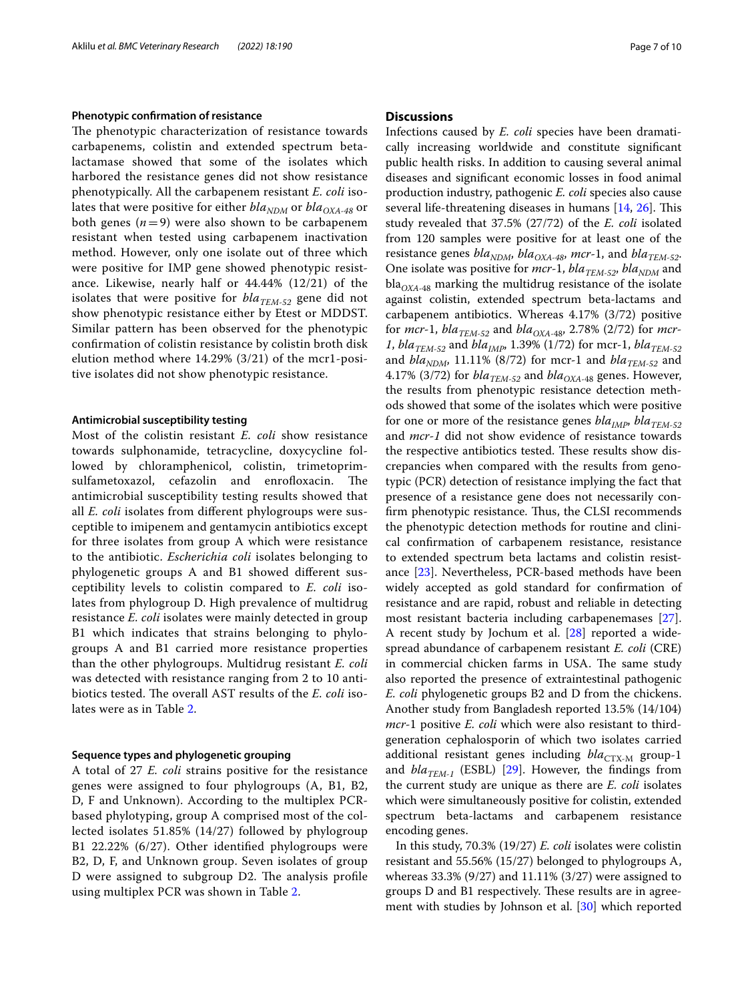## **Phenotypic confrmation of resistance**

The phenotypic characterization of resistance towards carbapenems, colistin and extended spectrum betalactamase showed that some of the isolates which harbored the resistance genes did not show resistance phenotypically. All the carbapenem resistant *E. coli* isolates that were positive for either *bla<sub>NDM</sub>* or *bla<sub>OXA-48</sub>* or both genes  $(n=9)$  were also shown to be carbapenem resistant when tested using carbapenem inactivation method. However, only one isolate out of three which were positive for IMP gene showed phenotypic resistance. Likewise, nearly half or 44.44% (12/21) of the isolates that were positive for  $bla_{TEM-52}$  gene did not show phenotypic resistance either by Etest or MDDST. Similar pattern has been observed for the phenotypic confrmation of colistin resistance by colistin broth disk elution method where 14.29% (3/21) of the mcr1-positive isolates did not show phenotypic resistance.

# **Antimicrobial susceptibility testing**

Most of the colistin resistant *E. coli* show resistance towards sulphonamide, tetracycline, doxycycline followed by chloramphenicol, colistin, trimetoprimsulfametoxazol, cefazolin and enrofloxacin. The antimicrobial susceptibility testing results showed that all *E. coli* isolates from diferent phylogroups were susceptible to imipenem and gentamycin antibiotics except for three isolates from group A which were resistance to the antibiotic. *Escherichia coli* isolates belonging to phylogenetic groups A and B1 showed diferent susceptibility levels to colistin compared to *E. coli* isolates from phylogroup D. High prevalence of multidrug resistance *E. coli* isolates were mainly detected in group B1 which indicates that strains belonging to phylogroups A and B1 carried more resistance properties than the other phylogroups. Multidrug resistant *E. coli* was detected with resistance ranging from 2 to 10 antibiotics tested. The overall AST results of the *E. coli* isolates were as in Table [2](#page-5-0).

# **Sequence types and phylogenetic grouping**

A total of 27 *E. coli* strains positive for the resistance genes were assigned to four phylogroups (A, B1, B2, D, F and Unknown). According to the multiplex PCRbased phylotyping, group A comprised most of the collected isolates 51.85% (14/27) followed by phylogroup B1 22.22% (6/27). Other identifed phylogroups were B2, D, F, and Unknown group. Seven isolates of group D were assigned to subgroup D2. The analysis profile using multiplex PCR was shown in Table [2](#page-5-0).

# **Discussions**

Infections caused by *E. coli* species have been dramatically increasing worldwide and constitute signifcant public health risks. In addition to causing several animal diseases and signifcant economic losses in food animal production industry, pathogenic *E. coli* species also cause several life-threatening diseases in humans [[14,](#page-8-13) [26\]](#page-9-7). This study revealed that 37.5% (27/72) of the *E. coli* isolated from 120 samples were positive for at least one of the resistance genes *bla<sub>NDM</sub>*, *bla<sub>OXA-48</sub>*, *mcr*-1, and *bla<sub>TEM-52</sub>*. One isolate was positive for *mcr*-1, *bla<sub>TEM-52</sub>*, *bla<sub>NDM</sub>* and  $bla<sub>OXA-48</sub>$  marking the multidrug resistance of the isolate against colistin, extended spectrum beta-lactams and carbapenem antibiotics. Whereas 4.17% (3/72) positive for *mcr*-1,  $bla_{TEM-52}$  and  $bla_{OXA-48}$ , 2.78% (2/72) for *mcr*-*1*, *bla<sub>TEM-52</sub>* and *bla<sub>IMP</sub>*, 1.39% (1/72) for mcr-1, *bla<sub>TEM-52</sub>* and  $bla_{NDM}$ , 11.11% (8/72) for mcr-1 and  $bla_{TEM-52}$  and 4.17% (3/72) for  $bla_{TEM-52}$  and  $bla_{OXA-48}$  genes. However, the results from phenotypic resistance detection methods showed that some of the isolates which were positive for one or more of the resistance genes *bla<sub>IMP</sub>*, *bla<sub>TEM-52</sub>* and *mcr-1* did not show evidence of resistance towards the respective antibiotics tested. These results show discrepancies when compared with the results from genotypic (PCR) detection of resistance implying the fact that presence of a resistance gene does not necessarily confirm phenotypic resistance. Thus, the CLSI recommends the phenotypic detection methods for routine and clinical confrmation of carbapenem resistance, resistance to extended spectrum beta lactams and colistin resistance [\[23](#page-9-4)]. Nevertheless, PCR-based methods have been widely accepted as gold standard for confrmation of resistance and are rapid, robust and reliable in detecting most resistant bacteria including carbapenemases [\[27](#page-9-8)]. A recent study by Jochum et al. [[28\]](#page-9-9) reported a widespread abundance of carbapenem resistant *E. coli* (CRE) in commercial chicken farms in USA. The same study also reported the presence of extraintestinal pathogenic *E. coli* phylogenetic groups B2 and D from the chickens. Another study from Bangladesh reported 13.5% (14/104) *mcr*-1 positive *E. coli* which were also resistant to thirdgeneration cephalosporin of which two isolates carried additional resistant genes including *bla*<sub>CTX-M</sub> group-1 and  $bla_{TEM-1}$  (ESBL) [[29\]](#page-9-10). However, the findings from the current study are unique as there are *E. coli* isolates which were simultaneously positive for colistin, extended spectrum beta-lactams and carbapenem resistance encoding genes.

In this study, 70.3% (19/27) *E. coli* isolates were colistin resistant and 55.56% (15/27) belonged to phylogroups A, whereas 33.3% (9/27) and 11.11% (3/27) were assigned to groups D and B1 respectively. These results are in agreement with studies by Johnson et al. [[30\]](#page-9-11) which reported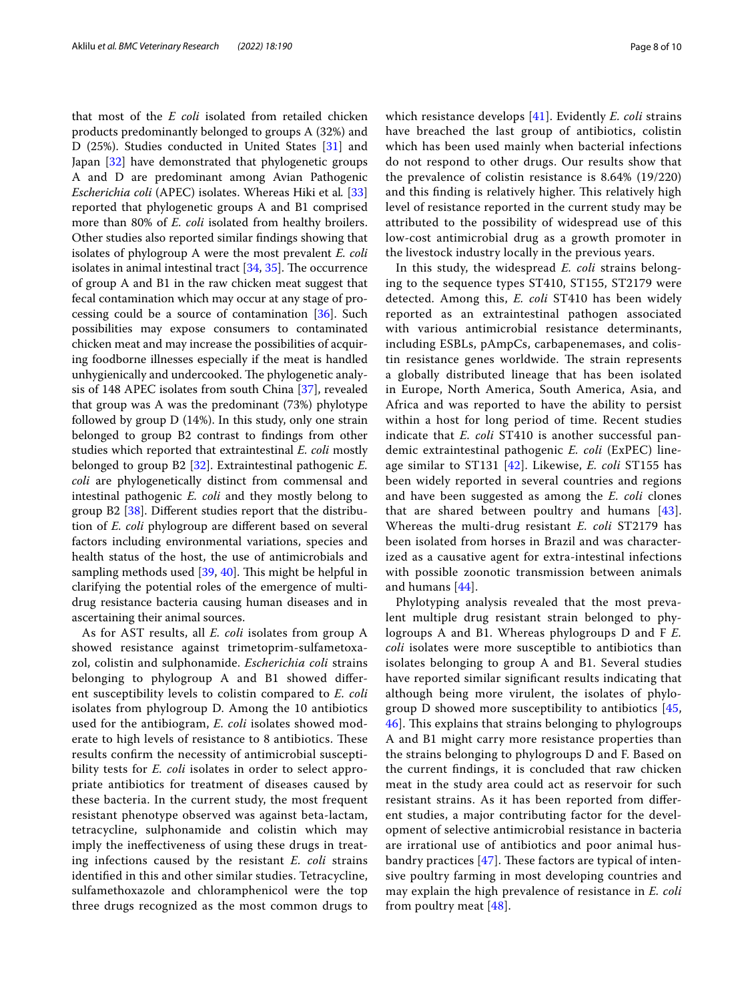that most of the *E coli* isolated from retailed chicken products predominantly belonged to groups A (32%) and D (25%). Studies conducted in United States [[31\]](#page-9-12) and Japan [\[32](#page-9-13)] have demonstrated that phylogenetic groups A and D are predominant among Avian Pathogenic *Escherichia coli* (APEC) isolates. Whereas Hiki et al*.* [[33](#page-9-14)] reported that phylogenetic groups A and B1 comprised more than 80% of *E. coli* isolated from healthy broilers. Other studies also reported similar fndings showing that isolates of phylogroup A were the most prevalent *E. coli* isolates in animal intestinal tract  $[34, 35]$  $[34, 35]$  $[34, 35]$  $[34, 35]$ . The occurrence of group A and B1 in the raw chicken meat suggest that fecal contamination which may occur at any stage of processing could be a source of contamination [[36\]](#page-9-17). Such possibilities may expose consumers to contaminated chicken meat and may increase the possibilities of acquiring foodborne illnesses especially if the meat is handled unhygienically and undercooked. The phylogenetic analysis of 148 APEC isolates from south China [\[37](#page-9-18)], revealed that group was A was the predominant (73%) phylotype followed by group D (14%). In this study, only one strain belonged to group B2 contrast to fndings from other studies which reported that extraintestinal *E. coli* mostly belonged to group B2 [\[32\]](#page-9-13). Extraintestinal pathogenic *E. coli* are phylogenetically distinct from commensal and intestinal pathogenic *E. coli* and they mostly belong to group B2 [\[38\]](#page-9-19). Diferent studies report that the distribution of *E. coli* phylogroup are diferent based on several factors including environmental variations, species and health status of the host, the use of antimicrobials and sampling methods used  $[39, 40]$  $[39, 40]$  $[39, 40]$  $[39, 40]$  $[39, 40]$ . This might be helpful in clarifying the potential roles of the emergence of multidrug resistance bacteria causing human diseases and in ascertaining their animal sources.

As for AST results, all *E. coli* isolates from group A showed resistance against trimetoprim-sulfametoxazol, colistin and sulphonamide. *Escherichia coli* strains belonging to phylogroup A and B1 showed diferent susceptibility levels to colistin compared to *E. coli* isolates from phylogroup D. Among the 10 antibiotics used for the antibiogram, *E. coli* isolates showed moderate to high levels of resistance to 8 antibiotics. These results confrm the necessity of antimicrobial susceptibility tests for *E. coli* isolates in order to select appropriate antibiotics for treatment of diseases caused by these bacteria. In the current study, the most frequent resistant phenotype observed was against beta-lactam, tetracycline, sulphonamide and colistin which may imply the inefectiveness of using these drugs in treating infections caused by the resistant *E. coli* strains identifed in this and other similar studies. Tetracycline, sulfamethoxazole and chloramphenicol were the top three drugs recognized as the most common drugs to which resistance develops [[41](#page-9-22)]. Evidently *E. coli* strains have breached the last group of antibiotics, colistin which has been used mainly when bacterial infections do not respond to other drugs. Our results show that the prevalence of colistin resistance is 8.64% (19/220) and this finding is relatively higher. This relatively high level of resistance reported in the current study may be attributed to the possibility of widespread use of this low-cost antimicrobial drug as a growth promoter in the livestock industry locally in the previous years.

In this study, the widespread *E. coli* strains belonging to the sequence types ST410, ST155, ST2179 were detected. Among this, *E. coli* ST410 has been widely reported as an extraintestinal pathogen associated with various antimicrobial resistance determinants, including ESBLs, pAmpCs, carbapenemases, and colistin resistance genes worldwide. The strain represents a globally distributed lineage that has been isolated in Europe, North America, South America, Asia, and Africa and was reported to have the ability to persist within a host for long period of time. Recent studies indicate that *E. coli* ST410 is another successful pandemic extraintestinal pathogenic *E. coli* (ExPEC) lineage similar to ST131 [\[42](#page-9-23)]. Likewise, *E. coli* ST155 has been widely reported in several countries and regions and have been suggested as among the *E. coli* clones that are shared between poultry and humans [[43](#page-9-24)]. Whereas the multi-drug resistant *E. coli* ST2179 has been isolated from horses in Brazil and was characterized as a causative agent for extra-intestinal infections with possible zoonotic transmission between animals and humans [[44](#page-9-25)].

Phylotyping analysis revealed that the most prevalent multiple drug resistant strain belonged to phylogroups A and B1. Whereas phylogroups D and F *E. coli* isolates were more susceptible to antibiotics than isolates belonging to group A and B1. Several studies have reported similar signifcant results indicating that although being more virulent, the isolates of phylogroup D showed more susceptibility to antibiotics [\[45](#page-9-26), [46\]](#page-9-27). This explains that strains belonging to phylogroups A and B1 might carry more resistance properties than the strains belonging to phylogroups D and F. Based on the current fndings, it is concluded that raw chicken meat in the study area could act as reservoir for such resistant strains. As it has been reported from diferent studies, a major contributing factor for the development of selective antimicrobial resistance in bacteria are irrational use of antibiotics and poor animal husbandry practices  $[47]$  $[47]$ . These factors are typical of intensive poultry farming in most developing countries and may explain the high prevalence of resistance in *E. coli* from poultry meat [\[48](#page-9-29)].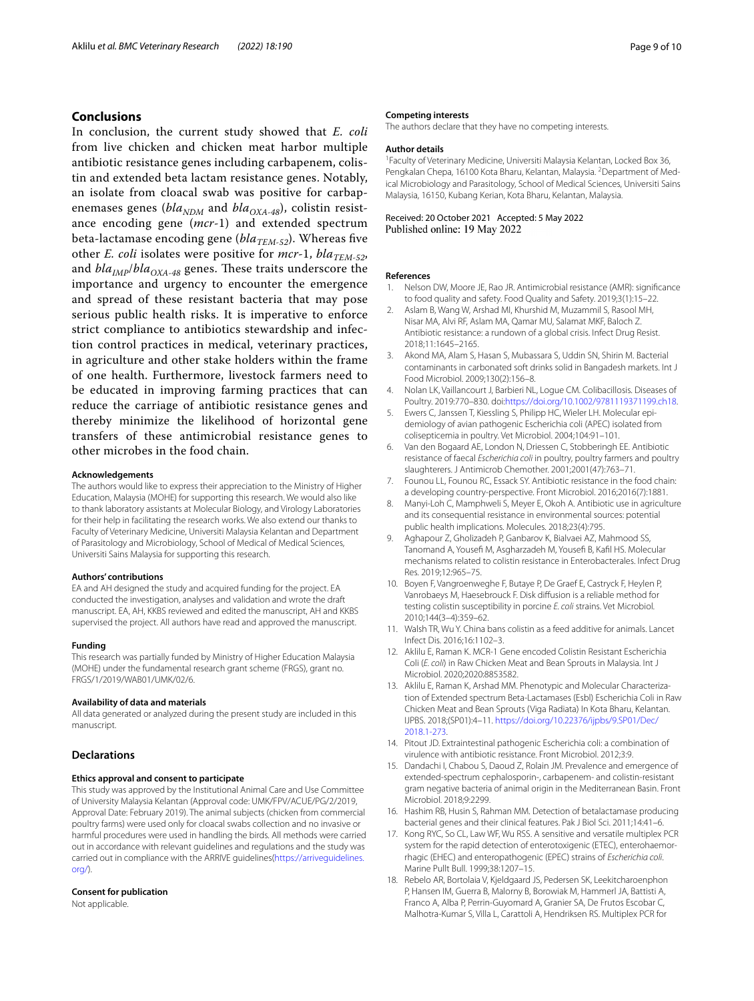# **Conclusions**

In conclusion, the current study showed that *E. coli* from live chicken and chicken meat harbor multiple antibiotic resistance genes including carbapenem, colistin and extended beta lactam resistance genes. Notably, an isolate from cloacal swab was positive for carbapenemases genes ( $bla_{NDM}$  and  $bla_{OXA-48}$ ), colistin resistance encoding gene (*mcr*-1) and extended spectrum beta-lactamase encoding gene ( $bla_{\text{TEM-52}}$ ). Whereas five other *E. coli* isolates were positive for  $mcr-1$ ,  $bla_{TEM-52}$ , and  $bla_{IMP}/bla_{OXA-48}$  genes. These traits underscore the importance and urgency to encounter the emergence and spread of these resistant bacteria that may pose serious public health risks. It is imperative to enforce strict compliance to antibiotics stewardship and infection control practices in medical, veterinary practices, in agriculture and other stake holders within the frame of one health. Furthermore, livestock farmers need to be educated in improving farming practices that can reduce the carriage of antibiotic resistance genes and thereby minimize the likelihood of horizontal gene transfers of these antimicrobial resistance genes to other microbes in the food chain.

#### **Acknowledgements**

The authors would like to express their appreciation to the Ministry of Higher Education, Malaysia (MOHE) for supporting this research. We would also like to thank laboratory assistants at Molecular Biology, and Virology Laboratories for their help in facilitating the research works. We also extend our thanks to Faculty of Veterinary Medicine, Universiti Malaysia Kelantan and Department of Parasitology and Microbiology, School of Medical of Medical Sciences, Universiti Sains Malaysia for supporting this research.

# **Authors' contributions**

EA and AH designed the study and acquired funding for the project. EA conducted the investigation, analyses and validation and wrote the draft manuscript. EA, AH, KKBS reviewed and edited the manuscript, AH and KKBS supervised the project. All authors have read and approved the manuscript.

#### **Funding**

This research was partially funded by Ministry of Higher Education Malaysia (MOHE) under the fundamental research grant scheme (FRGS), grant no. FRGS/1/2019/WAB01/UMK/02/6.

#### **Availability of data and materials**

All data generated or analyzed during the present study are included in this manuscript.

# **Declarations**

### **Ethics approval and consent to participate**

This study was approved by the Institutional Animal Care and Use Committee of University Malaysia Kelantan (Approval code: UMK/FPV/ACUE/PG/2/2019, Approval Date: February 2019). The animal subjects (chicken from commercial poultry farms) were used only for cloacal swabs collection and no invasive or harmful procedures were used in handling the birds. All methods were carried out in accordance with relevant guidelines and regulations and the study was carried out in compliance with the ARRIVE guidelines([https://arriveguidelines.](https://arriveguidelines.org/) [org/\)](https://arriveguidelines.org/).

#### **Consent for publication**

Not applicable.

#### **Competing interests**

The authors declare that they have no competing interests.

#### **Author details**

<sup>1</sup> Faculty of Veterinary Medicine, Universiti Malaysia Kelantan, Locked Box 36, Pengkalan Chepa, 16100 Kota Bharu, Kelantan, Malaysia. <sup>2</sup> Department of Medical Microbiology and Parasitology, School of Medical Sciences, Universiti Sains Malaysia, 16150, Kubang Kerian, Kota Bharu, Kelantan, Malaysia.

Received: 20 October 2021 Accepted: 5 May 2022 Published online: 19 May 2022

#### **References**

- <span id="page-8-0"></span>1. Nelson DW, Moore JE, Rao JR. Antimicrobial resistance (AMR): signifcance to food quality and safety. Food Quality and Safety. 2019;3(1):15–22.
- <span id="page-8-1"></span>2. Aslam B, Wang W, Arshad MI, Khurshid M, Muzammil S, Rasool MH, Nisar MA, Alvi RF, Aslam MA, Qamar MU, Salamat MKF, Baloch Z. Antibiotic resistance: a rundown of a global crisis. Infect Drug Resist. 2018;11:1645–2165.
- <span id="page-8-2"></span>3. Akond MA, Alam S, Hasan S, Mubassara S, Uddin SN, Shirin M. Bacterial contaminants in carbonated soft drinks solid in Bangadesh markets. Int J Food Microbiol. 2009;130(2):156–8.
- <span id="page-8-3"></span>4. Nolan LK, Vaillancourt J, Barbieri NL, Logue CM. Colibacillosis. Diseases of Poultry. 2019:770–830. doi[:https://doi.org/10.1002/9781119371199.ch18.](https://doi.org/10.1002/9781119371199.ch18)
- <span id="page-8-4"></span>5. Ewers C, Janssen T, Kiessling S, Philipp HC, Wieler LH. Molecular epidemiology of avian pathogenic Escherichia coli (APEC) isolated from colisepticemia in poultry. Vet Microbiol. 2004;104:91–101.
- <span id="page-8-5"></span>6. Van den Bogaard AE, London N, Driessen C, Stobberingh EE. Antibiotic resistance of faecal *Escherichia coli* in poultry, poultry farmers and poultry slaughterers. J Antimicrob Chemother. 2001;2001(47):763–71.
- <span id="page-8-6"></span>7. Founou LL, Founou RC, Essack SY. Antibiotic resistance in the food chain: a developing country-perspective. Front Microbiol. 2016;2016(7):1881.
- <span id="page-8-7"></span>8. Manyi-Loh C, Mamphweli S, Meyer E, Okoh A. Antibiotic use in agriculture and its consequential resistance in environmental sources: potential public health implications. Molecules. 2018;23(4):795.
- <span id="page-8-8"></span>9. Aghapour Z, Gholizadeh P, Ganbarov K, Bialvaei AZ, Mahmood SS, Tanomand A, Yousefi M, Asgharzadeh M, Yousefi B, Kafil HS. Molecular mechanisms related to colistin resistance in Enterobacterales. Infect Drug Res. 2019;12:965–75.
- <span id="page-8-9"></span>10. Boyen F, Vangroenweghe F, Butaye P, De Graef E, Castryck F, Heylen P, Vanrobaeys M, Haesebrouck F. Disk difusion is a reliable method for testing colistin susceptibility in porcine *E. coli* strains. Vet Microbiol. 2010;144(3–4):359–62.
- <span id="page-8-10"></span>11. Walsh TR, Wu Y. China bans colistin as a feed additive for animals. Lancet Infect Dis. 2016;16:1102–3.
- <span id="page-8-11"></span>12. Aklilu E, Raman K. MCR-1 Gene encoded Colistin Resistant Escherichia Coli (*E. coli*) in Raw Chicken Meat and Bean Sprouts in Malaysia. Int J Microbiol. 2020;2020:8853582.
- <span id="page-8-12"></span>13. Aklilu E, Raman K, Arshad MM. Phenotypic and Molecular Characterization of Extended spectrum Beta-Lactamases (Esbl) Escherichia Coli in Raw Chicken Meat and Bean Sprouts (Viga Radiata) In Kota Bharu, Kelantan. IJPBS. 2018;(SP01):4–11. [https://doi.org/10.22376/ijpbs/9.SP01/Dec/](https://doi.org/10.22376/ijpbs/9.SP01/Dec/2018.1-273) [2018.1-273.](https://doi.org/10.22376/ijpbs/9.SP01/Dec/2018.1-273)
- <span id="page-8-13"></span>14. Pitout JD. Extraintestinal pathogenic Escherichia coli: a combination of virulence with antibiotic resistance. Front Microbiol. 2012;3:9.
- <span id="page-8-14"></span>15. Dandachi I, Chabou S, Daoud Z, Rolain JM. Prevalence and emergence of extended-spectrum cephalosporin-, carbapenem- and colistin-resistant gram negative bacteria of animal origin in the Mediterranean Basin. Front Microbiol. 2018;9:2299.
- <span id="page-8-15"></span>16. Hashim RB, Husin S, Rahman MM. Detection of betalactamase producing bacterial genes and their clinical features. Pak J Biol Sci. 2011;14:41–6.
- <span id="page-8-16"></span>17. Kong RYC, So CL, Law WF, Wu RSS. A sensitive and versatile multiplex PCR system for the rapid detection of enterotoxigenic (ETEC), enterohaemorrhagic (EHEC) and enteropathogenic (EPEC) strains of *Escherichia coli*. Marine Pullt Bull. 1999;38:1207–15.
- <span id="page-8-17"></span>18. Rebelo AR, Bortolaia V, Kjeldgaard JS, Pedersen SK, Leekitcharoenphon P, Hansen IM, Guerra B, Malorny B, Borowiak M, Hammerl JA, Battisti A, Franco A, Alba P, Perrin-Guyomard A, Granier SA, De Frutos Escobar C, Malhotra-Kumar S, Villa L, Carattoli A, Hendriksen RS. Multiplex PCR for